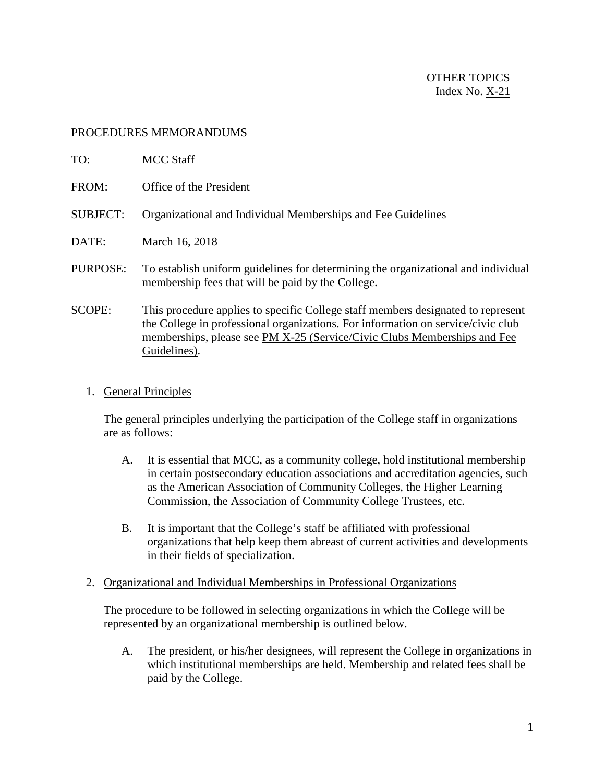## PROCEDURES MEMORANDUMS

| TO:             | MCC Staff                                                                                                                                                                                                                                                        |
|-----------------|------------------------------------------------------------------------------------------------------------------------------------------------------------------------------------------------------------------------------------------------------------------|
| FROM:           | Office of the President                                                                                                                                                                                                                                          |
| <b>SUBJECT:</b> | Organizational and Individual Memberships and Fee Guidelines                                                                                                                                                                                                     |
| DATE:           | March 16, 2018                                                                                                                                                                                                                                                   |
| PURPOSE:        | To establish uniform guidelines for determining the organizational and individual<br>membership fees that will be paid by the College.                                                                                                                           |
| <b>SCOPE:</b>   | This procedure applies to specific College staff members designated to represent<br>the College in professional organizations. For information on service/civic club<br>memberships, please see PM X-25 (Service/Civic Clubs Memberships and Fee<br>Guidelines). |

1. General Principles

The general principles underlying the participation of the College staff in organizations are as follows:

- A. It is essential that MCC, as a community college, hold institutional membership in certain postsecondary education associations and accreditation agencies, such as the American Association of Community Colleges, the Higher Learning Commission, the Association of Community College Trustees, etc.
- B. It is important that the College's staff be affiliated with professional organizations that help keep them abreast of current activities and developments in their fields of specialization.
- 2. Organizational and Individual Memberships in Professional Organizations

The procedure to be followed in selecting organizations in which the College will be represented by an organizational membership is outlined below.

A. The president, or his/her designees, will represent the College in organizations in which institutional memberships are held. Membership and related fees shall be paid by the College.